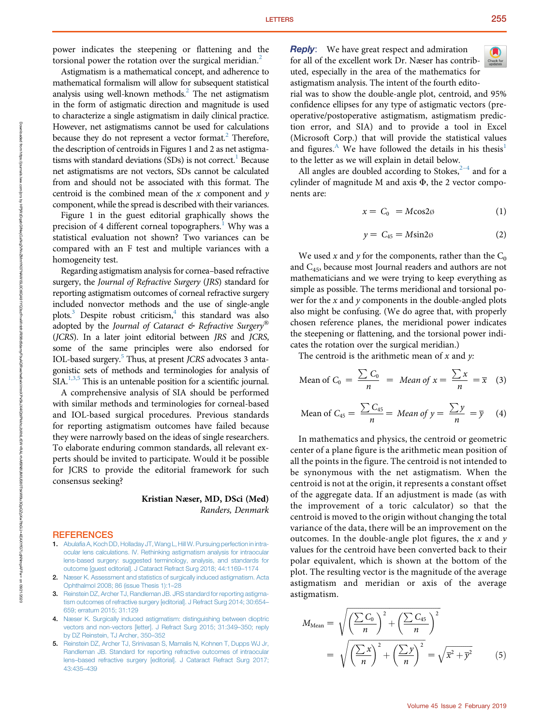Astigmatism is a mathematical concept, and adherence to mathematical formalism will allow for subsequent statistical analysis using well-known methods.<sup>2</sup> The net astigmatism in the form of astigmatic direction and magnitude is used to characterize a single astigmatism in daily clinical practice. However, net astigmatisms cannot be used for calculations because they do not represent a vector format.<sup>2</sup> Therefore, the description of centroids in Figures 1 and 2 as net astigmatisms with standard deviations  $(SDs)$  is not correct.<sup>1</sup> Because net astigmatisms are not vectors, SDs cannot be calculated from and should not be associated with this format. The centroid is the combined mean of the  $x$  component and  $y$ component, while the spread is described with their variances.

Figure 1 in the guest editorial graphically shows the precision of 4 different corneal topographers.<sup>1</sup> Why was a statistical evaluation not shown? Two variances can be compared with an F test and multiple variances with a homogeneity test.

Regarding astigmatism analysis for cornea–based refractive surgery, the Journal of Refractive Surgery (JRS) standard for reporting astigmatism outcomes of corneal refractive surgery included nonvector methods and the use of single-angle plots. $3$  Despite robust criticism, $4$  this standard was also adopted by the Journal of Cataract  $\mathcal O$  Refractive Surgery (JCRS). In a later joint editorial between JRS and JCRS, some of the same principles were also endorsed for IOL-based surgery.<sup>5</sup> Thus, at present *JCRS* advocates 3 antagonistic sets of methods and terminologies for analysis of SIA.<sup>1,3,5</sup> This is an untenable position for a scientific journal.

A comprehensive analysis of SIA should be performed with similar methods and terminologies for corneal-based and IOL-based surgical procedures. Previous standards for reporting astigmatism outcomes have failed because they were narrowly based on the ideas of single researchers. To elaborate enduring common standards, all relevant experts should be invited to participate. Would it be possible for JCRS to provide the editorial framework for such consensus seeking?

> Kristian Næser, MD, DSci (Med) Randers, Denmark

## **REFERENCES**

- 1. [Abulafia A, Koch DD, Holladay JT, Wang L, Hill W. Pursuing perfection in intra](http://refhub.elsevier.com/S0886-3350(18)30991-X/sref1)[ocular lens calculations. IV. Rethinking astigmatism analysis for intraocular](http://refhub.elsevier.com/S0886-3350(18)30991-X/sref1) [lens-based surgery: suggested terminology, analysis, and standards for](http://refhub.elsevier.com/S0886-3350(18)30991-X/sref1) [outcome \[guest editorial\]. J Cataract Refract Surg 2018; 44:1169](http://refhub.elsevier.com/S0886-3350(18)30991-X/sref1)–1174
- 2. [Næser K. Assessment and statistics of surgically induced astigmatism. Acta](http://refhub.elsevier.com/S0886-3350(18)30991-X/sref2) [Ophthalmol 2008; 86 \(issue Thesis 1\):1](http://refhub.elsevier.com/S0886-3350(18)30991-X/sref2)–28
- 3. [Reinstein DZ, Archer TJ, Randleman JB. JRS standard for reporting astigma](http://refhub.elsevier.com/S0886-3350(18)30991-X/sref3)[tism outcomes of refractive surgery \[editorial\]. J Refract Surg 2014; 30:654](http://refhub.elsevier.com/S0886-3350(18)30991-X/sref3)– [659; erratum 2015; 31:129](http://refhub.elsevier.com/S0886-3350(18)30991-X/sref3)
- 4. [Næser K. Surgically induced astigmatism: distinguishing between dioptric](http://refhub.elsevier.com/S0886-3350(18)30991-X/sref4) [vectors and non-vectors \[letter\]. J Refract Surg 2015; 31:349](http://refhub.elsevier.com/S0886-3350(18)30991-X/sref4)–350; reply [by DZ Reinstein, TJ Archer, 350](http://refhub.elsevier.com/S0886-3350(18)30991-X/sref4)–352
- 5. [Reinstein DZ, Archer TJ, Srinivasan S, Mamalis N, Kohnen T, Dupps WJ Jr,](http://refhub.elsevier.com/S0886-3350(18)30991-X/sref5) [Randleman JB. Standard for reporting refractive outcomes of intraocular](http://refhub.elsevier.com/S0886-3350(18)30991-X/sref5) lens–[based refractive surgery \[editorial\]. J Cataract Refract Surg 2017;](http://refhub.elsevier.com/S0886-3350(18)30991-X/sref5) [43:435](http://refhub.elsevier.com/S0886-3350(18)30991-X/sref5)–439

**Reply:** We have great respect and admiration for all of the excellent work Dr. Næser has contributed, especially in the area of the mathematics for astigmatism analysis. The intent of the fourth edito-

rial was to show the double-angle plot, centroid, and 95% confidence ellipses for any type of astigmatic vectors (preoperative/postoperative astigmatism, astigmatism prediction error, and SIA) and to provide a tool in Excel (Microsoft Corp.) that will provide the statistical values and figures.<sup>A</sup> We have followed the details in his thesis<sup>1</sup> to the letter as we will explain in detail below.

All angles are doubled according to Stokes, $2-4$  and for a cylinder of magnitude M and axis  $\Phi$ , the 2 vector components are:

$$
x = C_0 = M \cos 2\phi \tag{1}
$$

$$
y = C_{45} = M\sin 2\phi \tag{2}
$$

We used x and y for the components, rather than the  $C_0$ and C45, because most Journal readers and authors are not mathematicians and we were trying to keep everything as simple as possible. The terms meridional and torsional power for the  $x$  and  $y$  components in the double-angled plots also might be confusing. (We do agree that, with properly chosen reference planes, the meridional power indicates the steepening or flattening, and the torsional power indicates the rotation over the surgical meridian.)

The centroid is the arithmetic mean of  $x$  and  $y$ :

Mean of 
$$
C_0 = \frac{\sum C_0}{n}
$$
 = Mean of  $x = \frac{\sum x}{n} = \overline{x}$  (3)

Mean of 
$$
C_{45} = \frac{\sum C_{45}}{n} = Mean of y = \frac{\sum y}{n} = \overline{y}
$$
 (4)

In mathematics and physics, the centroid or geometric center of a plane figure is the arithmetic mean position of all the points in the figure. The centroid is not intended to be synonymous with the net astigmatism. When the centroid is not at the origin, it represents a constant offset of the aggregate data. If an adjustment is made (as with the improvement of a toric calculator) so that the centroid is moved to the origin without changing the total variance of the data, there will be an improvement on the outcomes. In the double-angle plot figures, the  $x$  and  $y$ values for the centroid have been converted back to their polar equivalent, which is shown at the bottom of the plot. The resulting vector is the magnitude of the average astigmatism and meridian or axis of the average astigmatism.

$$
M_{\text{Mean}} = \sqrt{\left(\frac{\sum C_0}{n}\right)^2 + \left(\frac{\sum C_{45}}{n}\right)^2}
$$

$$
= \sqrt{\left(\frac{\sum x}{n}\right)^2 + \left(\frac{\sum y}{n}\right)^2} = \sqrt{\overline{x}^2 + \overline{y}^2} \qquad (5)
$$

Downloaded from

https://journals.lww.com/jcrs

হ

HPjWzDqabGINwjCuiNq2VNVKOCt6QA91YAQSq1YQ3szFnwWnbfxQqAwBwwwwwwwwwwwwwwadaraCta920ADRwehw8wDqaDa80DqQA7AfFw=kAf-hAf6lND80TbkWi9u3QpQZpXwDaDa9QpQZpXwDaDaDa7AfFwFaFaXYfS7LqNNBuMiDS80TbXXHCADa9Cta92Dx

on 09/21/2020